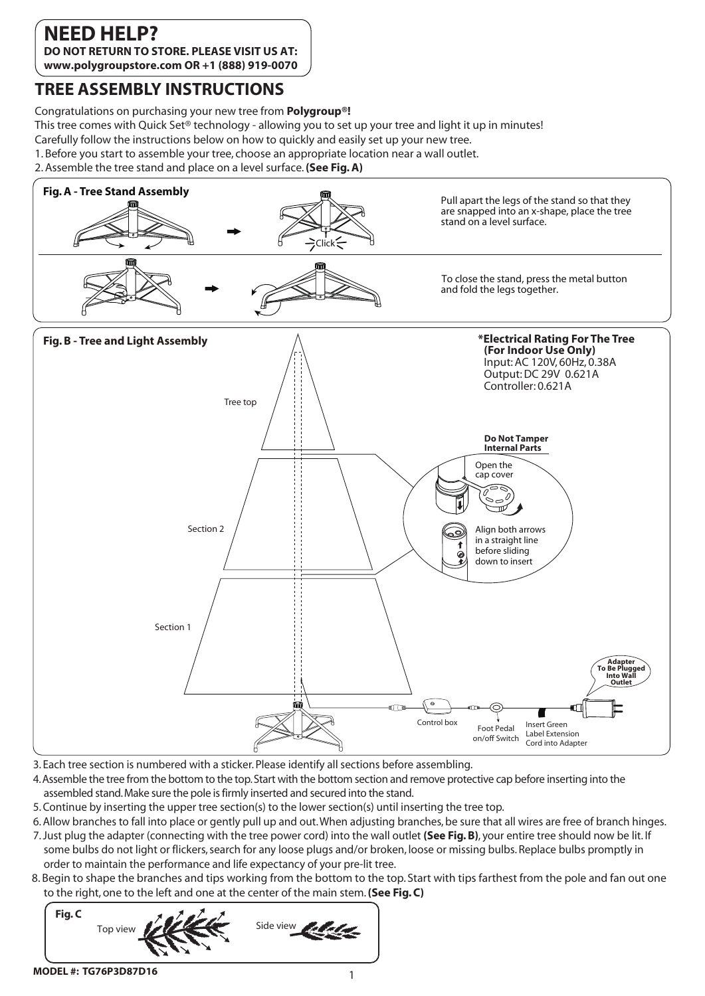## **NEED HELP?**

**DO NOT RETURN TO STORE. PLEASE VISIT US AT: www.polygroupstore.com OR +1 (888) 919-0070**

#### **TREE ASSEMBLY INSTRUCTIONS**

Congratulations on purchasing your new tree from **Polygroup®!**

This tree comes with Quick Set® technology - allowing you to set up your tree and light it up in minutes!

- Carefully follow the instructions below on how to quickly and easily set up your new tree.
- 1. Before you start to assemble your tree, choose an appropriate location near a wall outlet.
- 2. Assemble the tree stand and place on a level surface. **(See Fig. A)**



- 3. Each tree section is numbered with a sticker. Please identify all sections before assembling.
- 4. Assemble the tree from the bottom to the top. Start with the bottom section and remove protective cap before inserting into the assembled stand. Make sure the pole is firmly inserted and secured into the stand.
- 5. Continue by inserting the upper tree section(s) to the lower section(s) until inserting the tree top.
- 6. Allow branches to fall into place or gently pull up and out. When adjusting branches, be sure that all wires are free of branch hinges.
- 7. Just plug the adapter (connecting with the tree power cord) into the wall outlet **(See Fig. B)**, your entire tree should now be lit. If some bulbs do not light or flickers, search for any loose plugs and/or broken, loose or missing bulbs. Replace bulbs promptly in order to maintain the performance and life expectancy of your pre-lit tree.
- 8. Begin to shape the branches and tips working from the bottom to the top. Start with tips farthest from the pole and fan out one to the right, one to the left and one at the center of the main stem. **(See Fig. C)**

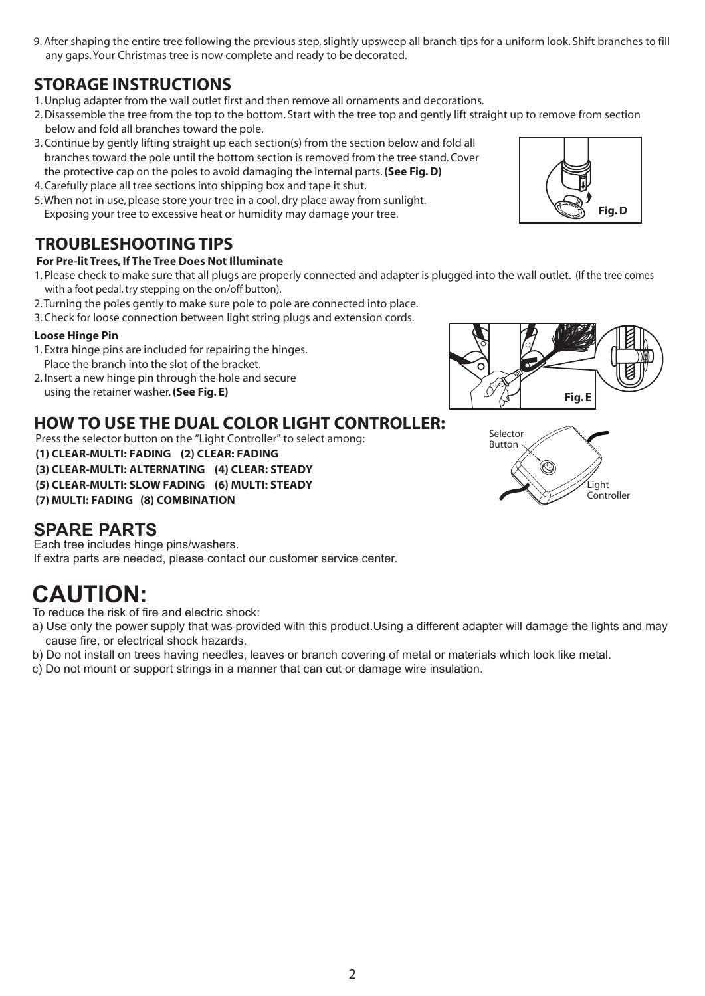9. After shaping the entire tree following the previous step, slightly upsweep all branch tips for a uniform look. Shift branches to fill any gaps. Your Christmas tree is now complete and ready to be decorated.

### **STORAGE INSTRUCTIONS**

- 1. Unplug adapter from the wall outlet first and then remove all ornaments and decorations.
- 2. Disassemble the tree from the top to the bottom. Start with the tree top and gently lift straight up to remove from section below and fold all branches toward the pole.
- 3. Continue by gently lifting straight up each section(s) from the section below and fold all branches toward the pole until the bottom section is removed from the tree stand. Cover the protective cap on the poles to avoid damaging the internal parts. **(See Fig. D)**
- 4. Carefully place all tree sections into shipping box and tape it shut.
- 5. When not in use, please store your tree in a cool, dry place away from sunlight. Exposing your tree to excessive heat or humidity may damage your tree.

### **TROUBLESHOOTING TIPS**

#### **For Pre-lit Trees, If The Tree Does Not Illuminate**

- 1. Please check to make sure that all plugs are properly connected and adapter is plugged into the wall outlet. (If the tree comes with a foot pedal, try stepping on the on/off button).
- 2. Turning the poles gently to make sure pole to pole are connected into place.
- 3. Check for loose connection between light string plugs and extension cords.

#### **Loose Hinge Pin**

- 1. Extra hinge pins are included for repairing the hinges. Place the branch into the slot of the bracket.
- 2. Insert a new hinge pin through the hole and secure using the retainer washer. **(See Fig. E)**

#### **HOW TO USE THE DUAL COLOR LIGHT CONTROLLER:**

Press the selector button on the "Light Controller" to select among:

**(1) CLEAR-MULTI: FADING (2) CLEAR: FADING**

**(3) CLEAR-MULTI: ALTERNATING (4) CLEAR: STEADY**

**(5) CLEAR-MULTI: SLOW FADING (6) MULTI: STEADY**

**(7) MULTI: FADING (8) COMBINATION**

#### **SPARE PARTS**

Each tree includes hinge pins/washers. If extra parts are needed, please contact our customer service center.

# **CAUTION:**

To reduce the risk of fire and electric shock:

- a) Use only the power supply that was provided with this product.Using a different adapter will damage the lights and may cause fire, or electrical shock hazards.
- b) Do not install on trees having needles, leaves or branch covering of metal or materials which look like metal.
- c) Do not mount or support strings in a manner that can cut or damage wire insulation.





**Fig. E**